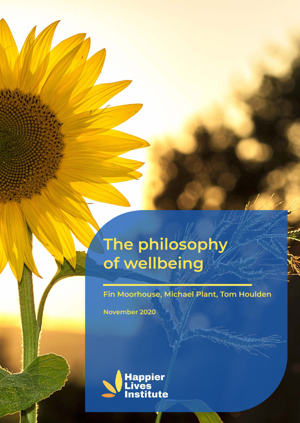# The philosophy<br>of wellbeing

Fin Moorhouse, Michael Plant, Tom Houlden

November 2020

43.397

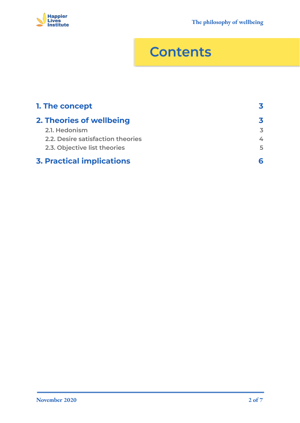

## **Contents**

| 1. The concept                    |    |
|-----------------------------------|----|
| 2. Theories of wellbeing          | 3  |
| 2.1. Hedonism                     | 3  |
| 2.2. Desire satisfaction theories | 4  |
| 2.3. Objective list theories      | 5. |
| <b>3. Practical implications</b>  |    |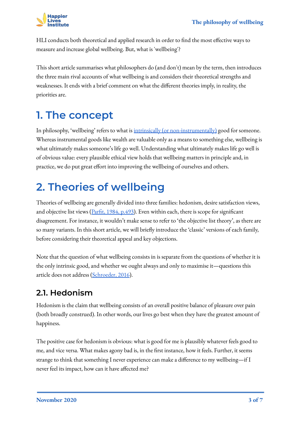

HLI conducts both theoretical and applied research in order to find the most effective ways to measure and increase global wellbeing. But, what is 'wellbeing'?

This short article summarises what philosophers do (and don't) mean by the term, then introduces the three main rival accounts of what wellbeing is and considers their theoretical strengths and weaknesses. It ends with a brief comment on what the different theories imply, in reality, the priorities are.

## <span id="page-2-0"></span>**1. The concept**

In philosophy, 'wellbeing' refers to what is [intrinsically \(or non-instrumentally\)](https://plato.stanford.edu/entries/value-intrinsic-extrinsic/) good for someone. Whereas instrumental goods like wealth are valuable only as a means to something else, wellbeing is what ultimately makes someone's life go well. Understanding what ultimately makes life go well is of obvious value: every plausible ethical view holds that wellbeing matters in principle and, in practice, we do put great effort into improving the wellbeing of ourselves and others.

## <span id="page-2-1"></span>**2. Theories of wellbeing**

Theories of wellbeing are generally divided into three families: hedonism, desire satisfaction views, and objective list views ( $\frac{\text{Parfit}}{\text{1984, p.493}}$ ). Even within each, there is scope for significant disagreement. For instance, it wouldn't make sense to refer to 'the objective list theory', as there are so many variants. In this short article, we will briefly introduce the 'classic' versions of each family, before considering their theoretical appeal and key objections.

Note that the question of what wellbeing consists in is separate from the questions of whether it is the only intrinsic good, and whether we ought always and only to maximise it—questions this article does not address [\(Schroeder, 2016](https://plato.stanford.edu/entries/value-theory/)).

#### <span id="page-2-2"></span>**2.1. Hedonism**

Hedonism is the claim that wellbeing consists of an overall positive balance of pleasure over pain (both broadly construed). In other words, our lives go best when they have the greatest amount of happiness.

The positive case for hedonism is obvious: what is good for me is plausibly whatever feels good to me, and vice versa. What makes agony bad is, in the first instance, how it feels. Further, it seems strange to think that something I never experience can make a difference to my wellbeing—if I never feel its impact, how can it have affected me?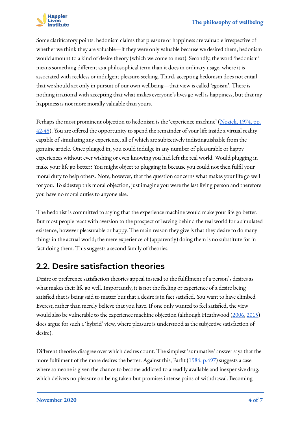

Some clarificatory points: hedonism claims that pleasure or happiness are valuable irrespective of whether we think they are valuable—if they were only valuable because we desired them, hedonism would amount to a kind of desire theory (which we come to next). Secondly, the word 'hedonism' means something different as a philosophical term than it does in ordinary usage, where it is associated with reckless or indulgent pleasure-seeking. Third, accepting hedonism does not entail that we should act only in pursuit of our own wellbeing—that view is called 'egoism'. There is nothing irrational with accepting that what makes everyone's lives go well is happiness, but that my happiness is not more morally valuable than yours.

Perhaps the most prominent objection to hedonism is the 'experience machine' ([Nozick, 1974, pp.](https://en.wikipedia.org/wiki/Anarchy,_State,_and_Utopia)  $42-45$ ). You are offered the opportunity to spend the remainder of your life inside a virtual reality capable of simulating any experience, all of which are subjectively indistinguishable from the genuine article. Once plugged in, you could indulge in any number of pleasurable or happy experiences without ever wishing or even knowing you had left the real world. Would plugging in make your life go better? You might object to plugging in because you could not then fulfil your moral duty to help others. Note, however, that the question concerns what makes your life go well for you. To sidestep this moral objection, just imagine you were the last living person and therefore you have no moral duties to anyone else.

The hedonist is committed to saying that the experience machine would make your life go better. But most people react with aversion to the prospect of leaving behind the real world for a simulated existence, however pleasurable or happy. The main reason they give is that they desire to do many things in the actual world; the mere experience of (apparently) doing them is no substitute for in fact doing them. This suggests a second family of theories.

#### <span id="page-3-0"></span>**2.2. Desire satisfaction theories**

Desire or preference satisfaction theories appeal instead to the fulfilment of a person's desires as what makes their life go well. Importantly, it is not the feeling or experience of a desire being satisfied that is being said to matter but that a desire is in fact satisfied. You want to have climbed Everest, rather than merely believe that you have. If one only wanted to feel satisfied, the view would also be vulnerable to the experience machine objection (although Heathwood ([2006,](https://philpapers.org/rec/HEADSA) [2015](https://philpapers.org/rec/HEADT)) does argue for such a 'hybrid' view, where pleasure is understood as the subjective satisfaction of desire).

Different theories disagree over which desires count. The simplest 'summative' answer says that the more fulfilment of the more desires the better. Against this, Parfit ([1984, p.497](https://rintintin.colorado.edu/~vancecd/phil1100/Parfit1.pdf)) suggests a case where someone is given the chance to become addicted to a readily available and inexpensive drug, which delivers no pleasure on being taken but promises intense pains of withdrawal. Becoming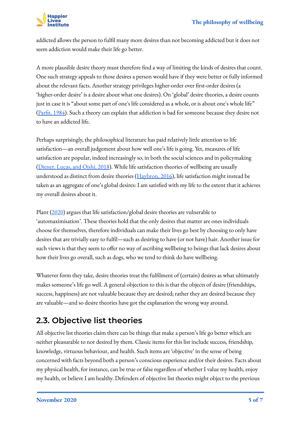

addicted allows the person to fulfil many more desires than not becoming addicted but it does not seem addiction would make their life go better.

A more plausible desire theory must therefore find a way of limiting the kinds of desires that count. One such strategy appeals to those desires a person would have if they were better or fully informed about the relevant facts. Another strategy privileges higher-order over first-order desires (a 'higher-order desire' is a desire about what one desires). On 'global' desire theories, a desire counts just in case it is "about some part of one's life considered as a whole, or is about one's whole life" ([Parfit, 1984\)](https://rintintin.colorado.edu/~vancecd/phil1100/Parfit1.pdf). Such a theory can explain that addiction is bad for someone because they desire not to have an addicted life.

Perhaps surprisingly, the philosophical literature has paid relatively little attention to life satisfaction—an overall judgement about how well one's life is going. Yet, measures of life satisfaction are popular, indeed increasingly so, in both the social sciences and in policymaking ([Diener, Lucas, and Oishi, 2018](https://www.collabra.org/article/10.1525/collabra.115/)). While life satisfaction theories of wellbeing are usually understood as distinct from desire theories ( $\frac{Haybron, 2016}{B}$  $\frac{Haybron, 2016}{B}$  $\frac{Haybron, 2016}{B}$ , life satisfaction might instead be taken as an aggregate of one's global desires: I am satisfied with my life to the extent that it achieves my overall desires about it.

Plant ([2020\)](https://www.happierlivesinstitute.org/life-satisfaction-theories.html) argues that life satisfaction/global desire theories are vulnerable to 'automaximisation'. These theories hold that the only desires that matter are ones individuals choose for themselves, therefore individuals can make their lives go best by choosing to only have desires that are trivially easy to fulfil—such as desiring to have (or not have) hair. Another issue for such views is that they seem to offer no way of ascribing wellbeing to beings that lack desires about how their lives go overall, such as dogs, who we tend to think do have wellbeing.

Whatever form they take, desire theories treat the fulfilment of (certain) desires as what ultimately makes someone's life go well. A general objection to this is that the objects of desire (friendships, success, happiness) are not valuable because they are desired; rather they are desired because they are valuable—and so desire theories have got the explanation the wrong way around.

#### <span id="page-4-0"></span>**2.3. Objective list theories**

All objective list theories claim there can be things that make a person's life go better which are neither pleasurable to nor desired by them. Classic items for this list include success, friendship, knowledge, virtuous behaviour, and health. Such items are 'objective' in the sense of being concerned with facts beyond both a person's conscious experience and/or their desires. Facts about my physical health, for instance, can be true or false regardless of whether I value my health, enjoy my health, or believe I am healthy. Defenders of objective list theories might object to the previous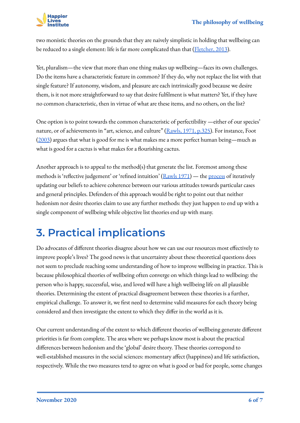

two monistic theories on the grounds that they are naively simplistic in holding that wellbeing can be reduced to a single element: life is far more complicated than that (*Fletcher*, 2013).

Yet, pluralism—the view that more than one thing makes up wellbeing—faces its own challenges. Do the items have a characteristic feature in common? If they do, why not replace the list with that single feature? If autonomy, wisdom, and pleasure are each intrinsically good because we desire them, is it not more straightforward to say that desire fulfilment is what matters? Yet, if they have no common characteristic, then in virtue of what are these items, and no others, on the list?

One option is to point towards the common characteristic of perfectibility —either of our species' nature, or of achievements in "art, science, and culture" [\(Rawls, 1971, p.325\)](https://en.wikipedia.org/wiki/A_Theory_of_Justice). For instance, Foot ([2003\)](https://philpapers.org/rec/FOONG) argues that what is good for me is what makes me a more perfect human being—much as what is good for a cactus is what makes for a flourishing cactus.

Another approach is to appeal to the method(s) that generate the list. Foremost among these methods is 'reflective judgement' or 'refined intuition'  $(Rawls 1971)$  $(Rawls 1971)$  $(Rawls 1971)$  — the [process](https://plato.stanford.edu/entries/reflective-equilibrium/) of iteratively updating our beliefs to achieve coherence between our various attitudes towards particular cases and general principles. Defenders of this approach would be right to point out that neither hedonism nor desire theories claim to use any further methods: they just happen to end up with a single component of wellbeing while objective list theories end up with many.

### <span id="page-5-0"></span>**3. Practical implications**

Do advocates of different theories disagree about how we can use our resources most effectively to improve people's lives? The good news is that uncertainty about these theoretical questions does not seem to preclude reaching some understanding of how to improve wellbeing in practice. This is because philosophical theories of wellbeing often converge on which things lead to wellbeing: the person who is happy, successful, wise, and loved will have a high wellbeing life on all plausible theories. Determining the extent of practical disagreement between these theories is a further, empirical challenge. To answer it, we first need to determine valid measures for each theory being considered and then investigate the extent to which they differ in the world as it is.

Our current understanding of the extent to which different theories of wellbeing generate different priorities is far from complete. The area where we perhaps know most is about the practical differences between hedonism and the 'global' desire theory. These theories correspond to well-established measures in the social sciences: momentary affect (happiness) and life satisfaction, respectively. While the two measures tend to agree on what is good or bad for people, some changes